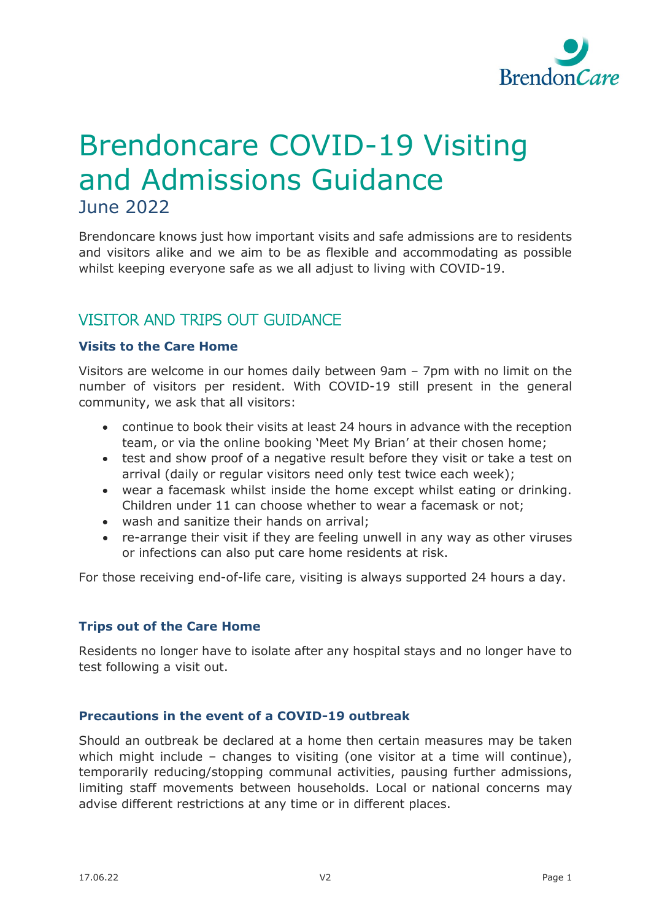

# Brendoncare COVID-19 Visiting and Admissions Guidance June 2022

Brendoncare knows just how important visits and safe admissions are to residents and visitors alike and we aim to be as flexible and accommodating as possible whilst keeping everyone safe as we all adjust to living with COVID-19.

## VISITOR AND TRIPS OUT GUIDANCE

## **Visits to the Care Home**

Visitors are welcome in our homes daily between 9am – 7pm with no limit on the number of visitors per resident. With COVID-19 still present in the general community, we ask that all visitors:

- continue to book their visits at least 24 hours in advance with the reception team, or via the online booking 'Meet My Brian' at their chosen home;
- test and show proof of a negative result before they visit or take a test on arrival (daily or regular visitors need only test twice each week);
- wear a facemask whilst inside the home except whilst eating or drinking. Children under 11 can choose whether to wear a facemask or not;
- wash and sanitize their hands on arrival;
- re-arrange their visit if they are feeling unwell in any way as other viruses or infections can also put care home residents at risk.

For those receiving end-of-life care, visiting is always supported 24 hours a day.

## **Trips out of the Care Home**

Residents no longer have to isolate after any hospital stays and no longer have to test following a visit out.

## **Precautions in the event of a COVID-19 outbreak**

Should an outbreak be declared at a home then certain measures may be taken which might include – changes to visiting (one visitor at a time will continue), temporarily reducing/stopping communal activities, pausing further admissions, limiting staff movements between households. Local or national concerns may advise different restrictions at any time or in different places.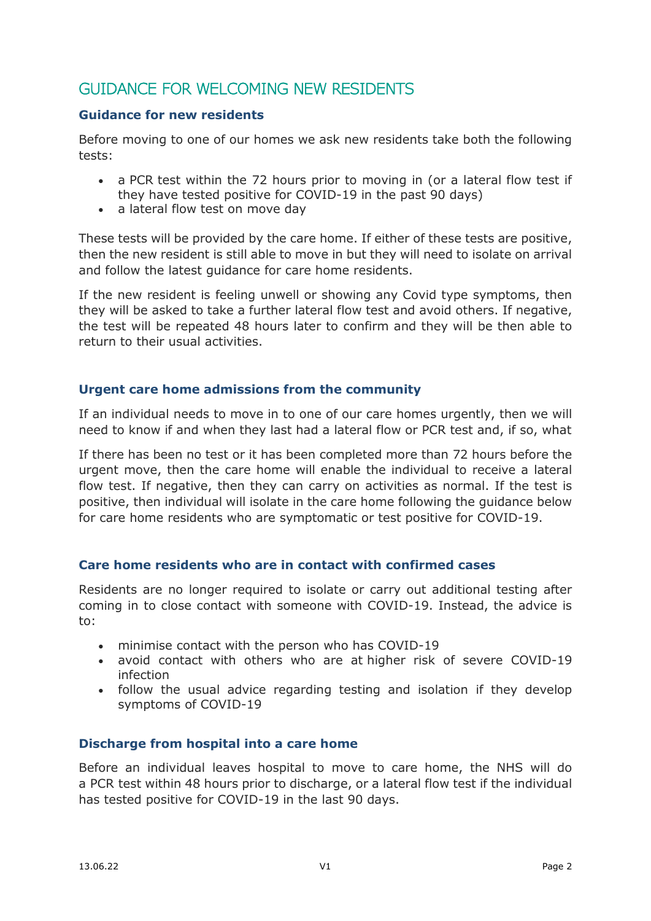# GUIDANCE FOR WELCOMING NEW RESIDENTS

## **Guidance for new residents**

Before moving to one of our homes we ask new residents take both the following tests:

- a PCR test within the 72 hours prior to moving in (or a lateral flow test if they have tested positive for COVID-19 in the past 90 days)
- a lateral flow test on move day

These tests will be provided by the care home. If either of these tests are positive, then the new resident is still able to move in but they will need to isolate on arrival and follow the latest guidance for care home residents.

If the new resident is feeling unwell or showing any Covid type symptoms, then they will be asked to take a further lateral flow test and avoid others. If negative, the test will be repeated 48 hours later to confirm and they will be then able to return to their usual activities.

## **Urgent care home admissions from the community**

If an individual needs to move in to one of our care homes urgently, then we will need to know if and when they last had a lateral flow or PCR test and, if so, what

If there has been no test or it has been completed more than 72 hours before the urgent move, then the care home will enable the individual to receive a lateral flow test. If negative, then they can carry on activities as normal. If the test is positive, then individual will isolate in the care home following the guidance below for care home residents who are symptomatic or test positive for COVID-19.

## **Care home residents who are in contact with confirmed cases**

Residents are no longer required to isolate or carry out additional testing after coming in to close contact with someone with COVID-19. Instead, the advice is to:

- minimise contact with the person who has COVID-19
- avoid contact with others who are at higher risk of severe COVID-19 infection
- follow the usual advice regarding testing and isolation if they develop symptoms of COVID-19

## **Discharge from hospital into a care home**

Before an individual leaves hospital to move to care home, the NHS will do a PCR test within 48 hours prior to discharge, or a lateral flow test if the individual has tested positive for COVID-19 in the last 90 days.